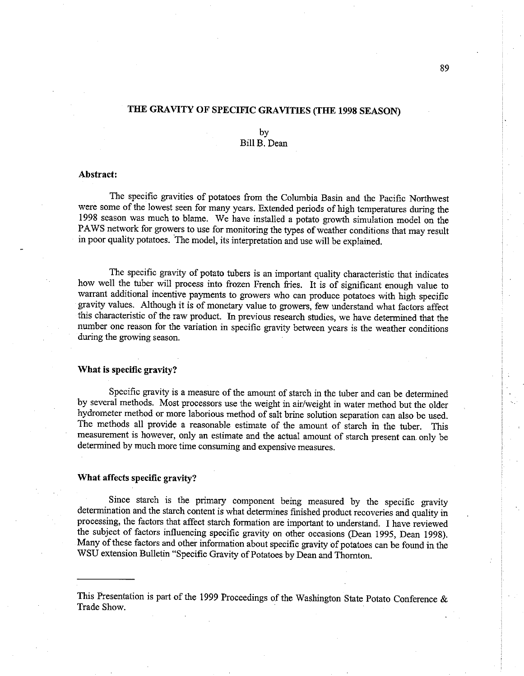# THE GRAVITY OF SPECIFIC GRAVITIES (THE 1998 SEASON)

## by Bil B. Dean

### Abstract:

The specific gravities of potatoes from the Columbia Basin and the Pacific Northwest were some of the lowest seen for many years. Extended periods of high temperatues durng the 1998 season was much to blame. We have installed a potato growth simulation model on the PAWS network for growers to use for monitoring the types of weather conditions that may result in poor quality potatoes. 'The model, its interpretation and use wil be explained.

The specific gravity of potato tubers is an important quality characteristic that indicates how well the tuber will process into frozen French fries. It is of significant enough value to warrant additional incentive payments to growers who can produce potatoes with high specific gravity values. Although it is of monetary value to growers, few understand what factors affect this characteristic of the raw product. In previous research studies, we have determined that the number one reason for the varation in specific gravity between years is the weather conditions during the growing season.

### What is specific gravity?

Specific gravity is a measure of the amount of starch in the tuber and can be determined by several methods. Most processors use the weight in air/weight in water method but the older hydrometer method or more laborious method of salt brine solution separation can also be used. The methods all provide a reasonable estimate of the amount of starch in the tuber. This measurement is however, only an estimate and the actual amount of starch present can only be determined by much more time consuming and expensive measures.

### What affects specific gravity?

Since starch is the primary component being measured by the specific gravity determination and the stach content is what determines finished product recoveries and quality in processing, the factors that affect starch formation are important to understand. I have reviewed the subject of factors influencing specific gravity on other occasions (Dean 1995, Dean 1998). Many of these factors and other information about specific gravity of potatoes can be found in the WSU extension Bulletin "Specific Gravity of Potatoes by Dean and Thornton.

This Presentation is part of the 1999 Proceedings of the Washington State Potato Conference  $\&$ Trade Show.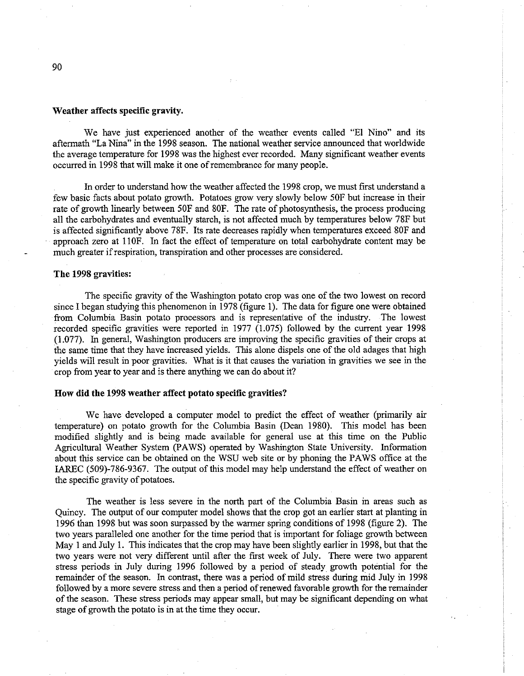#### Weather affects specific gravity.

We have just experienced another of the weather events called "El Nino" and its aftermath "La Nina" in the 1998 season. The national weather servce announced that worldwide the average temperature for 1998 was the highest ever recorded. Many significant weather events occurred in 1998 that will make it one of remembrance for many people.

In order to understand how the weather affected the 1998 crop, we must first understand a few basic facts about potato growth. Potatoes grow very slowly below 50F but increase in their rate of growth linearly between 50F and 80F. The rate of photosynthesis, the process producing all the carbohydrates and eventually starch, is not affected much by temperatures below 78F but is affected significantly above 78F. Its rate decreases rapidly when temperatues exceed 80F and approach zero at 110F. In fact the effect of temperature on total carbohydrate content may be much greater if respiration, transpiration and other processes are considered.

### The 1998 gravities:

The specific gravity of the Washington potato crop was one of the two lowest on record since I began studying this phenomenon in 1978 (figure 1). The data for figure one were obtained from Columbia Basin potato processors and is representative of the industry. The lowest recorded specific gravities were reported in 1977 (1.075) followed by the curent year 1998 (1.077). In general, Washington producers are improving the specific gravities of their crops at the same time that they have increased yields. Ths alone dispels one of the old adages that high yields will result in poor gravities. What is it that causes the variation in gravities we see in the crop from year to year and is there anything we can do about it?

### How did the 1998 weather affect potato specific gravities?

We have developed a computer model to predict the effect of weather (primarly air temperatue) on potato growth for the Columbia Basin (Dean 1980). This model has been modified slightly and is being made available for general use at this time on the Public Agricultural Weather System (PAWS) operated by Washington State University. Information about this service can be obtained on the WSU web site or by phoning the PAWS office at the IAREC (509)-786-9367. The output of this model may help understand the effect of weather on the specific gravity of potatoes.

The weather is less severe in the north part of the Columbia Basin in areas such as Quincy. The output of our computer model shows that the crop got an earlier start at planting in 1996 than 1998 but was soon surassed by the warer spring conditions of 1998 (figure 2). The two years paralleled one another for the time period that is important for foliage growth between May I and July 1. This indicates that the crop may have been slightly earlier in 1998, but that the two years were not very different until after the first week of July. There were two apparent stress periods in July durng 1996 followed by a period of steady growth potential for the remainder of the season. In contrast, there was a period of mild stress durng mid July in 1998 followed by a more severe stress and then a period of renewed favorable growth for the remainder of the season. These stress perods may appear small, but may be significant depending on what stage of growth the potato is in at the time they occur.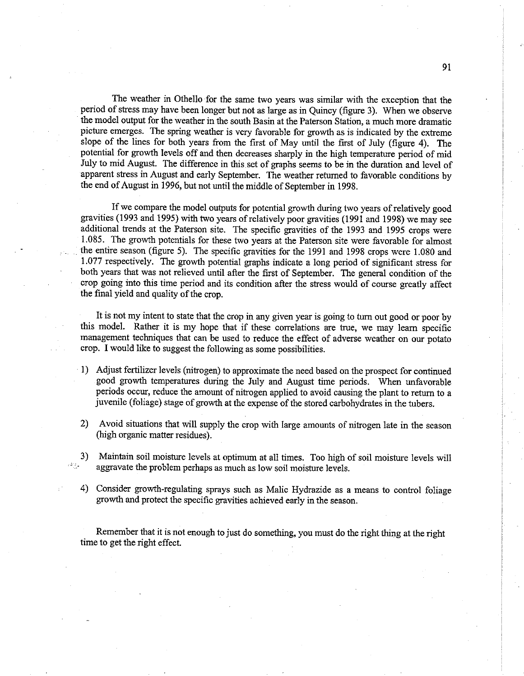The weather in Othello for the same two years was similar with the exception that the period of stress may have been longer but not as large as in Quincy (figure 3). When we obsere the model output for the weather in the south Basin at the Paterson Station, a much more dramatic picture emerges. The sprig weather is very favorable for growth as is indicated by the extreme slope of the lines for both years from the first of May until the first of July (figure 4). The potential for growth levels off and then decreases sharply in the high temperatue period of mid July to mid August. The difference in this set of graphs seems to be in the duration and level of apparent stress in August and early September. The weather returned to favorable conditions by the end of August in 1996, but not until the middle of September in 1998.

If we compare the model outputs for potential growth during two years of relatively good gravities (1993 and 1995) with two years of relatively poor gravities (1991 and 1998) we may see additional trends at the Paterson site. The specific gravities of the 1993 and 1995 crops were 1.085. The growth potentials for these two years at the Paterson site were favorable for almost the entire season (figure 5). The specific gravities for the 1991 and 1998 crops were 1.080 and 1.077 respectively. The growth potential graphs indicate a long period of significant stress for both years that was not relieved until after the first of September. The general condition of the crop going into this time period and its condition after the stress would of course greatly affect the final yield and quality of the crop.

It is not my intent to state that the crop in any given year is going to turn out good or poor by this model. Rather it is my hope that if these correlations are tre, we may learn specific management techniques that can be used to reduce the effect of adverse weather on our potato crop. I would like to suggest the followig as some possibilities.

- I) Adjust fertilizer levels (nitrogen) to approximate the need based on the prospect for continued good growth temperatures during the July and August time periods. When unfavorable periods occur, reduce the amount of nitrogen applied to avoid causing the plant to return to a juvenile (foliage) stage of growth at the expense of the stored carbohydrates in the tubers.
- Avoid situations that will supply the crop with large amounts of nitrogen late in the season (high organic matter residues).
- Maintain soil moistue levels at optimum at all times. Too high of soil moistue levels will 3)  $\mathbb{P}^{2n} \mathbb{P}_n$ aggravate the problem perhaps as much as low soil moistue levels.
	- 4) Consider growth-regulating sprays such as Malic Hydrazide as a means to control foliage growth and protect the specific gravities achieved early in the season.

Remember that it is not enough to just do something, you must do the right thing at the right time to get the right effect.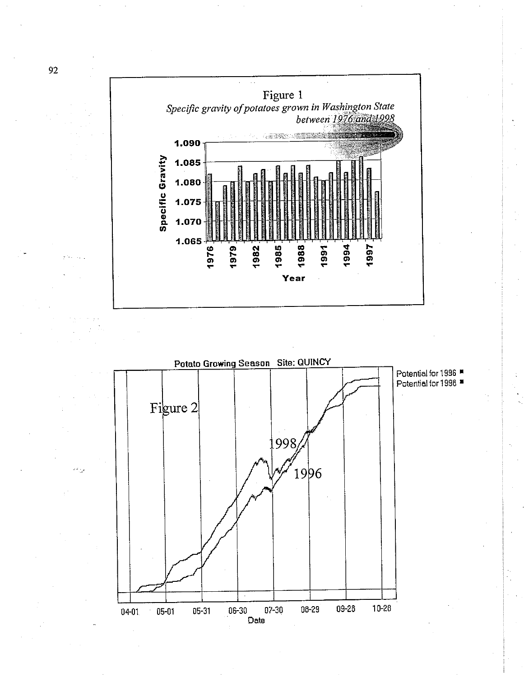

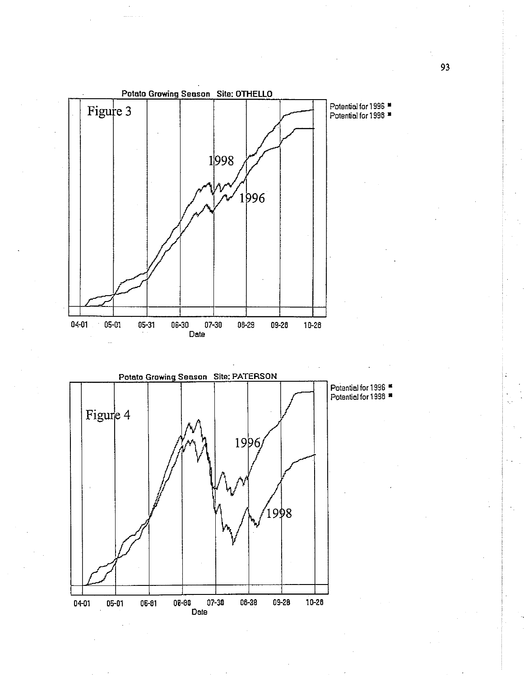

93